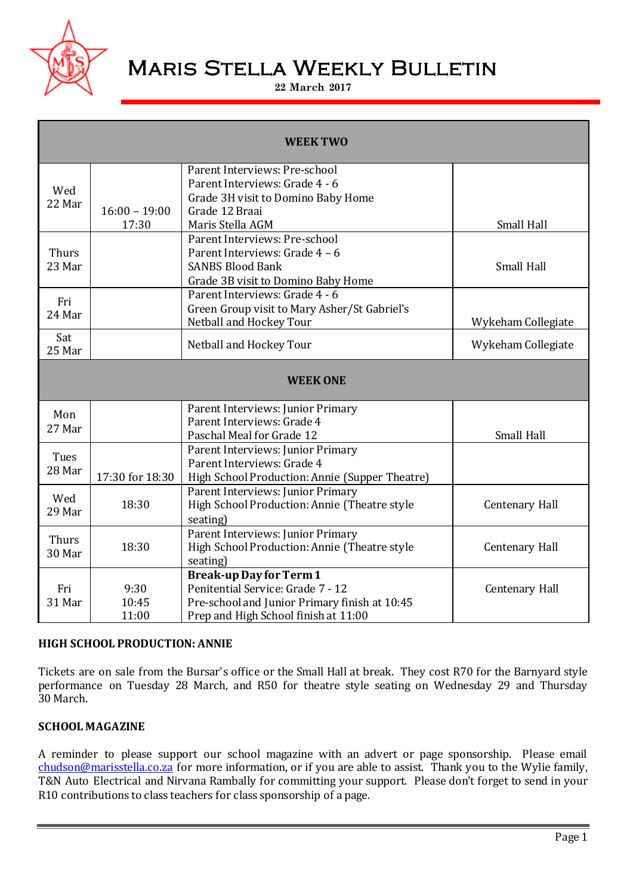

# Maris Stella Weekly Bulletin

#### **22 March 2017**

| <b>WEEK TWO</b>        |                          |                                                                                                                                                              |                    |
|------------------------|--------------------------|--------------------------------------------------------------------------------------------------------------------------------------------------------------|--------------------|
| Wed<br>22 Mar          | $16:00 - 19:00$<br>17:30 | Parent Interviews: Pre-school<br>Parent Interviews: Grade 4 - 6<br>Grade 3H visit to Domino Baby Home<br>Grade 12 Braai<br>Maris Stella AGM                  | Small Hall         |
| <b>Thurs</b><br>23 Mar |                          | Parent Interviews: Pre-school<br>Parent Interviews: Grade 4 - 6<br><b>SANBS Blood Bank</b><br>Grade 3B visit to Domino Baby Home                             | Small Hall         |
| Fri<br>24 Mar          |                          | Parent Interviews: Grade 4 - 6<br>Green Group visit to Mary Asher/St Gabriel's<br>Netball and Hockey Tour                                                    | Wykeham Collegiate |
| Sat<br>25 Mar          |                          | Netball and Hockey Tour                                                                                                                                      | Wykeham Collegiate |
| <b>WEEK ONE</b>        |                          |                                                                                                                                                              |                    |
| Mon<br>27 Mar          |                          | Parent Interviews: Junior Primary<br>Parent Interviews: Grade 4<br>Paschal Meal for Grade 12                                                                 | Small Hall         |
| Tues<br>28 Mar         | 17:30 for 18:30          | Parent Interviews: Junior Primary<br>Parent Interviews: Grade 4<br>High School Production: Annie (Supper Theatre)                                            |                    |
| Wed<br>29 Mar          | 18:30                    | Parent Interviews: Junior Primary<br>High School Production: Annie (Theatre style<br>seating)                                                                | Centenary Hall     |
| <b>Thurs</b><br>30 Mar | 18:30                    | Parent Interviews: Junior Primary<br>High School Production: Annie (Theatre style<br>seating)                                                                | Centenary Hall     |
| Fri<br>31 Mar          | 9:30<br>10:45<br>11:00   | <b>Break-up Day for Term 1</b><br>Penitential Service: Grade 7 - 12<br>Pre-school and Junior Primary finish at 10:45<br>Prep and High School finish at 11:00 | Centenary Hall     |

#### **HIGH SCHOOL PRODUCTION: ANNIE**

Tickets are on sale from the Bursar's office or the Small Hall at break. They cost R70 for the Barnyard style performance on Tuesday 28 March, and R50 for theatre style seating on Wednesday 29 and Thursday 30 March.

# **SCHOOL MAGAZINE**

A reminder to please support our school magazine with an advert or page sponsorship. Please email [chudson@marisstella.co.za](mailto:chudson@marisstella.co.za) for more information, or if you are able to assist. Thank you to the Wylie family, T&N Auto Electrical and Nirvana Rambally for committing your support. Please don't forget to send in your R10 contributions to class teachers for class sponsorship of a page.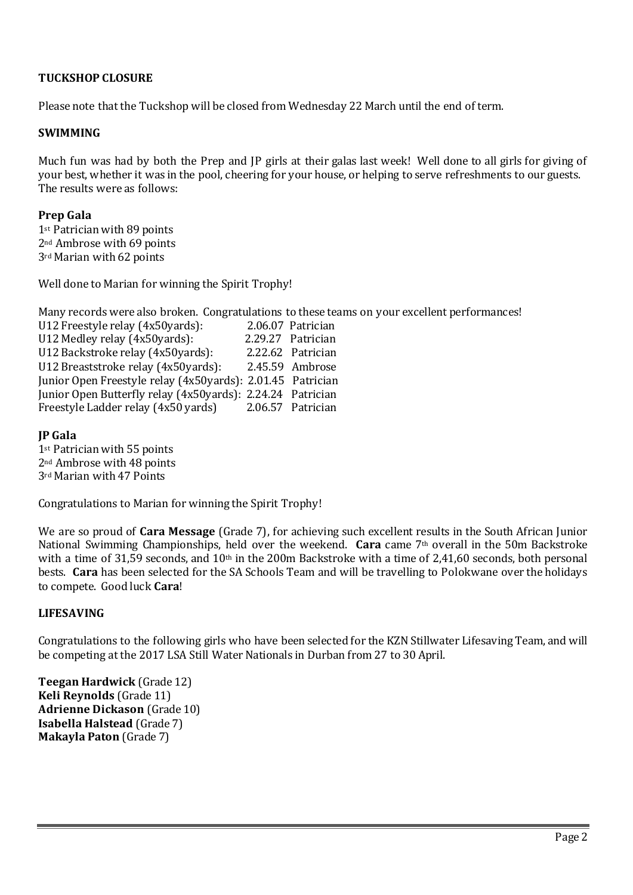# **TUCKSHOP CLOSURE**

Please note that the Tuckshop will be closed from Wednesday 22 March until the end of term.

#### **SWIMMING**

Much fun was had by both the Prep and JP girls at their galas last week! Well done to all girls for giving of your best, whether it was in the pool, cheering for your house, or helping to serve refreshments to our guests. The results were as follows:

# **Prep Gala**

1st Patrician with 89 points 2nd Ambrose with 69 points 3rd Marian with 62 points

Well done to Marian for winning the Spirit Trophy!

Many records were also broken. Congratulations to these teams on your excellent performances!

U12 Freestyle relay (4x50yards): 2.06.07 Patrician U12 Medley relay (4x50yards): 2.29.27 Patrician U12 Backstroke relay (4x50yards): 2.22.62 Patrician U12 Breaststroke relay (4x50yards): 2.45.59 Ambrose Junior Open Freestyle relay (4x50yards): 2.01.45 Patrician Junior Open Butterfly relay (4x50yards): 2.24.24 Patrician Freestyle Ladder relay (4x50 yards) 2.06.57 Patrician

# **JP Gala**

1st Patrician with 55 points 2nd Ambrose with 48 points 3rd Marian with 47 Points

Congratulations to Marian for winning the Spirit Trophy!

We are so proud of **Cara Message** (Grade 7), for achieving such excellent results in the South African Junior National Swimming Championships, held over the weekend. **Cara** came 7th overall in the 50m Backstroke with a time of 31,59 seconds, and 10th in the 200m Backstroke with a time of 2,41,60 seconds, both personal bests. **Cara** has been selected for the SA Schools Team and will be travelling to Polokwane over the holidays to compete. Good luck **Cara**!

#### **LIFESAVING**

Congratulations to the following girls who have been selected for the KZN Stillwater Lifesaving Team, and will be competing at the 2017 LSA Still Water Nationals in Durban from 27 to 30 April.

**Teegan Hardwick** (Grade 12) **Keli Reynolds** (Grade 11) **Adrienne Dickason** (Grade 10) **Isabella Halstead** (Grade 7) **Makayla Paton** (Grade 7)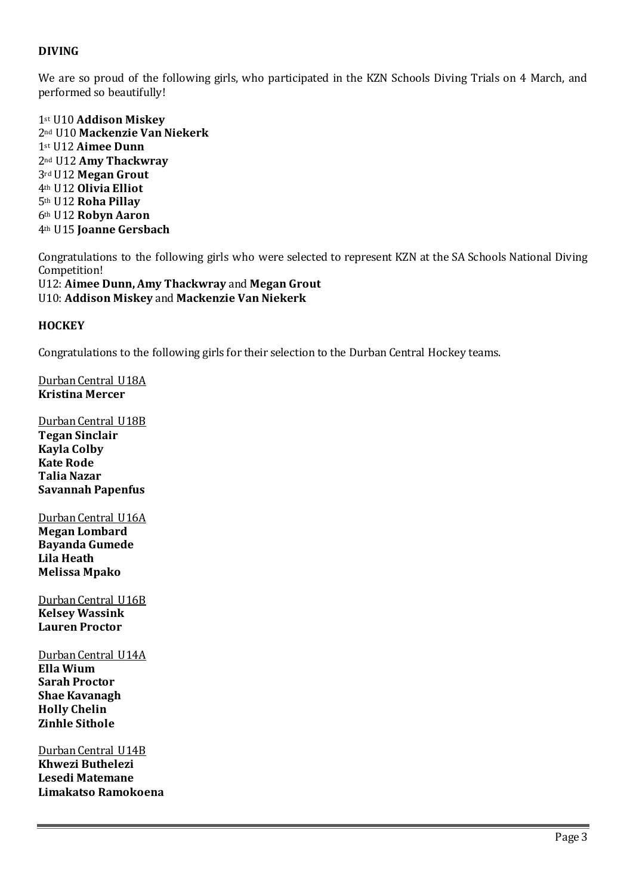# **DIVING**

We are so proud of the following girls, who participated in the KZN Schools Diving Trials on 4 March, and performed so beautifully!

st U10 **Addison Miskey** nd U10 **Mackenzie Van Niekerk** st U12 **Aimee Dunn** nd U12 **Amy Thackwray** rd U12 **Megan Grout** th U12 **Olivia Elliot** th U12 **Roha Pillay** th U12 **Robyn Aaron** th U15 **Joanne Gersbach**

Congratulations to the following girls who were selected to represent KZN at the SA Schools National Diving Competition! U12: **Aimee Dunn, Amy Thackwray** and **Megan Grout** U10: **Addison Miskey** and **Mackenzie Van Niekerk**

#### **HOCKEY**

Congratulations to the following girls for their selection to the Durban Central Hockey teams.

Durban Central U18A **Kristina Mercer**

Durban Central U18B **Tegan Sinclair Kayla Colby Kate Rode Talia Nazar Savannah Papenfus**

Durban Central U16A **Megan Lombard Bayanda Gumede Lila Heath Melissa Mpako**

Durban Central U16B **Kelsey Wassink Lauren Proctor**

Durban Central U14A **Ella Wium Sarah Proctor Shae Kavanagh Holly Chelin Zinhle Sithole**

Durban Central U14B **Khwezi Buthelezi Lesedi Matemane Limakatso Ramokoena**